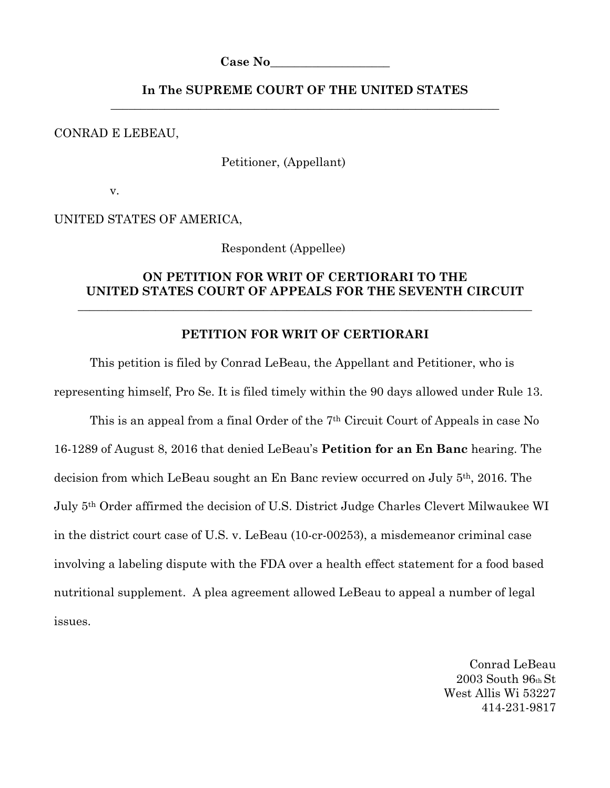**Case No\_\_\_\_\_\_\_\_\_\_\_\_\_\_\_\_\_\_\_\_**

## **In The SUPREME COURT OF THE UNITED STATES** \_\_\_\_\_\_\_\_\_\_\_\_\_\_\_\_\_\_\_\_\_\_\_\_\_\_\_\_\_\_\_\_\_\_\_\_\_\_\_\_\_\_\_\_\_\_\_\_\_\_\_\_\_\_\_\_\_\_\_\_\_\_\_\_\_

CONRAD E LEBEAU,

Petitioner, (Appellant)

v.

UNITED STATES OF AMERICA,

Respondent (Appellee)

## **ON PETITION FOR WRIT OF CERTIORARI TO THE UNITED STATES COURT OF APPEALS FOR THE SEVENTH CIRCUIT**

\_\_\_\_\_\_\_\_\_\_\_\_\_\_\_\_\_\_\_\_\_\_\_\_\_\_\_\_\_\_\_\_\_\_\_\_\_\_\_\_\_\_\_\_\_\_\_\_\_\_\_\_\_\_\_\_\_\_\_\_\_\_\_\_\_\_\_\_\_\_\_\_\_\_\_\_

### **PETITION FOR WRIT OF CERTIORARI**

This petition is filed by Conrad LeBeau, the Appellant and Petitioner, who is representing himself, Pro Se. It is filed timely within the 90 days allowed under Rule 13. This is an appeal from a final Order of the 7th Circuit Court of Appeals in case No 16-1289 of August 8, 2016 that denied LeBeau's **Petition for an En Banc** hearing. The decision from which LeBeau sought an En Banc review occurred on July 5th, 2016. The July 5th Order affirmed the decision of U.S. District Judge Charles Clevert Milwaukee WI in the district court case of U.S. v. LeBeau (10-cr-00253), a misdemeanor criminal case involving a labeling dispute with the FDA over a health effect statement for a food based nutritional supplement. A plea agreement allowed LeBeau to appeal a number of legal issues.

> Conrad LeBeau 2003 South 96th St West Allis Wi 53227 414-231-9817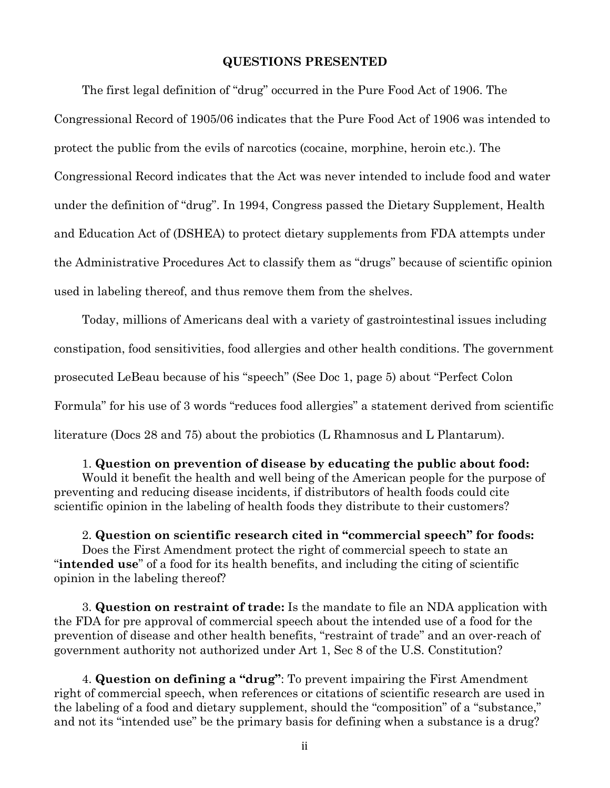#### **QUESTIONS PRESENTED**

The first legal definition of "drug" occurred in the Pure Food Act of 1906. The Congressional Record of 1905/06 indicates that the Pure Food Act of 1906 was intended to protect the public from the evils of narcotics (cocaine, morphine, heroin etc.). The Congressional Record indicates that the Act was never intended to include food and water under the definition of "drug". In 1994, Congress passed the Dietary Supplement, Health and Education Act of (DSHEA) to protect dietary supplements from FDA attempts under the Administrative Procedures Act to classify them as "drugs" because of scientific opinion used in labeling thereof, and thus remove them from the shelves.

Today, millions of Americans deal with a variety of gastrointestinal issues including constipation, food sensitivities, food allergies and other health conditions. The government prosecuted LeBeau because of his "speech" (See Doc 1, page 5) about "Perfect Colon Formula" for his use of 3 words "reduces food allergies" a statement derived from scientific literature (Docs 28 and 75) about the probiotics (L Rhamnosus and L Plantarum).

1. **Question on prevention of disease by educating the public about food:** Would it benefit the health and well being of the American people for the purpose of preventing and reducing disease incidents, if distributors of health foods could cite scientific opinion in the labeling of health foods they distribute to their customers?

2. **Question on scientific research cited in "commercial speech" for foods:**  Does the First Amendment protect the right of commercial speech to state an "**intended use**" of a food for its health benefits, and including the citing of scientific opinion in the labeling thereof?

3. **Question on restraint of trade:** Is the mandate to file an NDA application with the FDA for pre approval of commercial speech about the intended use of a food for the prevention of disease and other health benefits, "restraint of trade" and an over-reach of government authority not authorized under Art 1, Sec 8 of the U.S. Constitution?

4. **Question on defining a "drug"**: To prevent impairing the First Amendment right of commercial speech, when references or citations of scientific research are used in the labeling of a food and dietary supplement, should the "composition" of a "substance," and not its "intended use" be the primary basis for defining when a substance is a drug?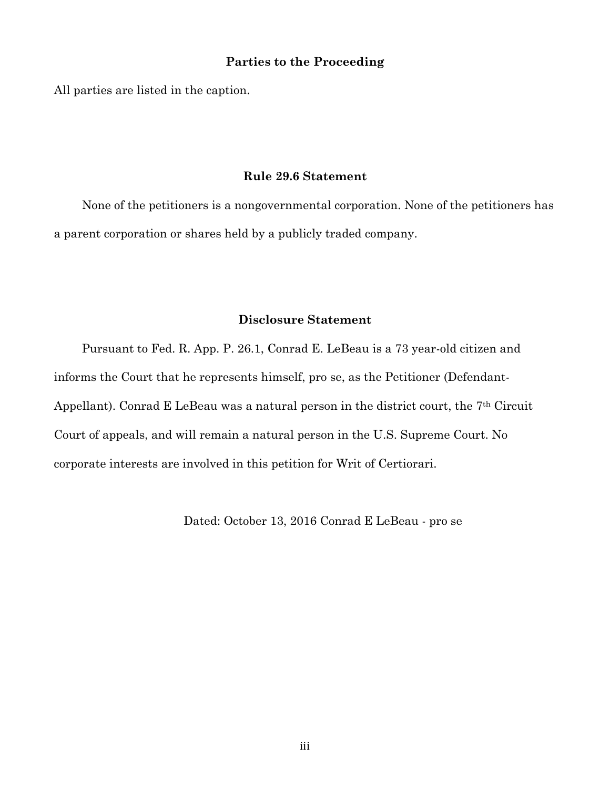### **Parties to the Proceeding**

All parties are listed in the caption.

## **Rule 29.6 Statement**

None of the petitioners is a nongovernmental corporation. None of the petitioners has a parent corporation or shares held by a publicly traded company.

## **Disclosure Statement**

Pursuant to Fed. R. App. P. 26.1, Conrad E. LeBeau is a 73 year-old citizen and informs the Court that he represents himself, pro se, as the Petitioner (Defendant-Appellant). Conrad E LeBeau was a natural person in the district court, the 7<sup>th</sup> Circuit Court of appeals, and will remain a natural person in the U.S. Supreme Court. No corporate interests are involved in this petition for Writ of Certiorari.

Dated: October 13, 2016 Conrad E LeBeau - pro se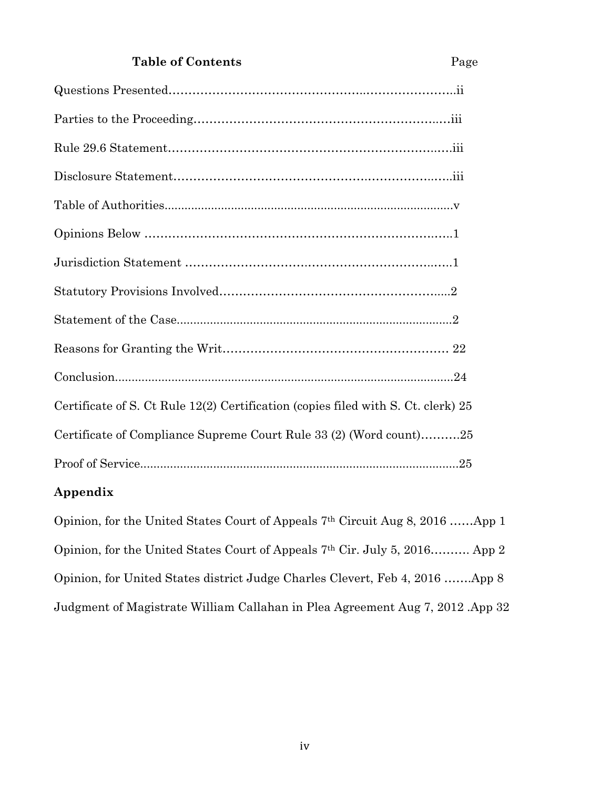# **Table of Contents** Page

| Certificate of S. Ct Rule 12(2) Certification (copies filed with S. Ct. clerk) 25 |
|-----------------------------------------------------------------------------------|
| Certificate of Compliance Supreme Court Rule 33 (2) (Word count)25                |
|                                                                                   |
|                                                                                   |

# **Appendix**

Opinion, for the United States Court of Appeals 7th Circuit Aug 8, 2016 ……App 1 Opinion, for the United States Court of Appeals 7th Cir. July 5, 2016………. App 2 Opinion, for United States district Judge Charles Clevert, Feb 4, 2016 …….App 8 Judgment of Magistrate William Callahan in Plea Agreement Aug 7, 2012 .App 32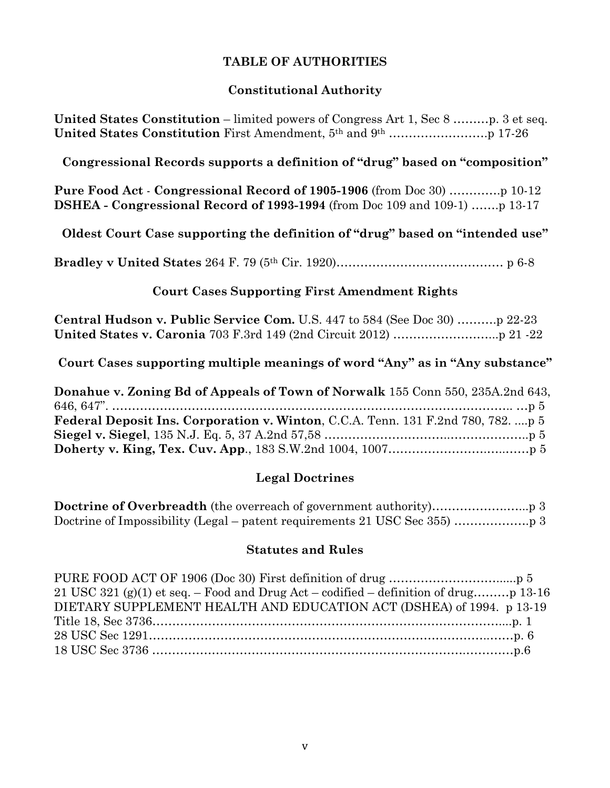# **TABLE OF AUTHORITIES**

# **Constitutional Authority**

**United States Constitution** – limited powers of Congress Art 1, Sec 8 ………p. 3 et seq. **United States Constitution** First Amendment, 5th and 9th …………………….p 17-26

# **Congressional Records supports a definition of "drug" based on "composition"**

**Pure Food Act** - **Congressional Record of 1905-1906** (from Doc 30) ………….p 10-12 **DSHEA - Congressional Record of 1993-1994** (from Doc 109 and 109-1) …….p 13-17

**Oldest Court Case supporting the definition of "drug" based on "intended use"**

**Bradley v United States** 264 F. 79 (5th Cir. 1920)…………………………………… p 6-8

## **Court Cases Supporting First Amendment Rights**

| <b>Central Hudson v. Public Service Com.</b> U.S. 447 to 584 (See Doc 30)  22-23 |  |
|----------------------------------------------------------------------------------|--|
|                                                                                  |  |

**Court Cases supporting multiple meanings of word "Any" as in "Any substance"**

| Donahue v. Zoning Bd of Appeals of Town of Norwalk 155 Conn 550, 235A.2nd 643,           |
|------------------------------------------------------------------------------------------|
|                                                                                          |
| <b>Federal Deposit Ins. Corporation v. Winton, C.C.A. Tenn. 131 F.2nd 780, 782.  p 5</b> |
|                                                                                          |
|                                                                                          |

# **Legal Doctrines**

**Doctrine of Overbreadth** (the overreach of government authority)………………………...p 3 Doctrine of Impossibility (Legal – patent requirements 21 USC Sec 355) ……………….p 3

## **Statutes and Rules**

| DIETARY SUPPLEMENT HEALTH AND EDUCATION ACT (DSHEA) of 1994. p 13-19 |  |
|----------------------------------------------------------------------|--|
|                                                                      |  |
|                                                                      |  |
|                                                                      |  |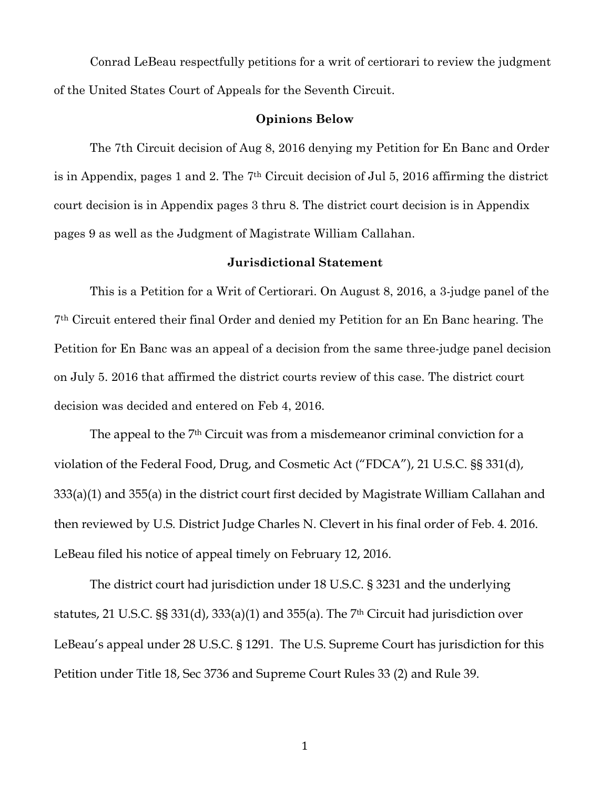Conrad LeBeau respectfully petitions for a writ of certiorari to review the judgment of the United States Court of Appeals for the Seventh Circuit.

### **Opinions Below**

The 7th Circuit decision of Aug 8, 2016 denying my Petition for En Banc and Order is in Appendix, pages 1 and 2. The 7th Circuit decision of Jul 5, 2016 affirming the district court decision is in Appendix pages 3 thru 8. The district court decision is in Appendix pages 9 as well as the Judgment of Magistrate William Callahan.

### **Jurisdictional Statement**

This is a Petition for a Writ of Certiorari. On August 8, 2016, a 3-judge panel of the 7th Circuit entered their final Order and denied my Petition for an En Banc hearing. The Petition for En Banc was an appeal of a decision from the same three-judge panel decision on July 5. 2016 that affirmed the district courts review of this case. The district court decision was decided and entered on Feb 4, 2016.

The appeal to the 7th Circuit was from a misdemeanor criminal conviction for a violation of the Federal Food, Drug, and Cosmetic Act ("FDCA"), 21 U.S.C. §§ 331(d), 333(a)(1) and 355(a) in the district court first decided by Magistrate William Callahan and then reviewed by U.S. District Judge Charles N. Clevert in his final order of Feb. 4. 2016. LeBeau filed his notice of appeal timely on February 12, 2016.

The district court had jurisdiction under 18 U.S.C. § 3231 and the underlying statutes, 21 U.S.C. §§ 331(d), 333(a)(1) and 355(a). The 7th Circuit had jurisdiction over LeBeau's appeal under 28 U.S.C. § 1291. The U.S. Supreme Court has jurisdiction for this Petition under Title 18, Sec 3736 and Supreme Court Rules 33 (2) and Rule 39.

 $\mathbf{1}$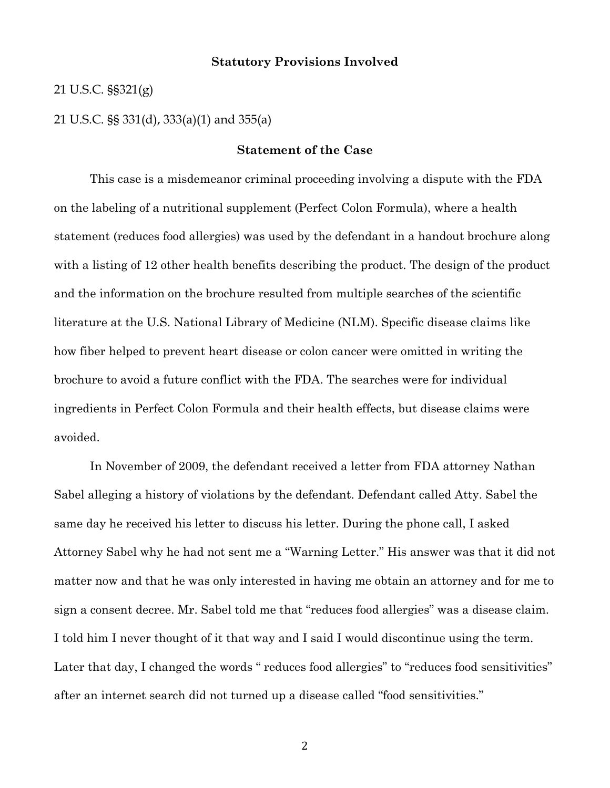## **Statutory Provisions Involved**

21 U.S.C. §§321(g)

21 U.S.C. §§ 331(d), 333(a)(1) and 355(a)

## **Statement of the Case**

This case is a misdemeanor criminal proceeding involving a dispute with the FDA on the labeling of a nutritional supplement (Perfect Colon Formula), where a health statement (reduces food allergies) was used by the defendant in a handout brochure along with a listing of 12 other health benefits describing the product. The design of the product and the information on the brochure resulted from multiple searches of the scientific literature at the U.S. National Library of Medicine (NLM). Specific disease claims like how fiber helped to prevent heart disease or colon cancer were omitted in writing the brochure to avoid a future conflict with the FDA. The searches were for individual ingredients in Perfect Colon Formula and their health effects, but disease claims were avoided.

In November of 2009, the defendant received a letter from FDA attorney Nathan Sabel alleging a history of violations by the defendant. Defendant called Atty. Sabel the same day he received his letter to discuss his letter. During the phone call, I asked Attorney Sabel why he had not sent me a "Warning Letter." His answer was that it did not matter now and that he was only interested in having me obtain an attorney and for me to sign a consent decree. Mr. Sabel told me that "reduces food allergies" was a disease claim. I told him I never thought of it that way and I said I would discontinue using the term. Later that day, I changed the words " reduces food allergies" to "reduces food sensitivities" after an internet search did not turned up a disease called "food sensitivities."

2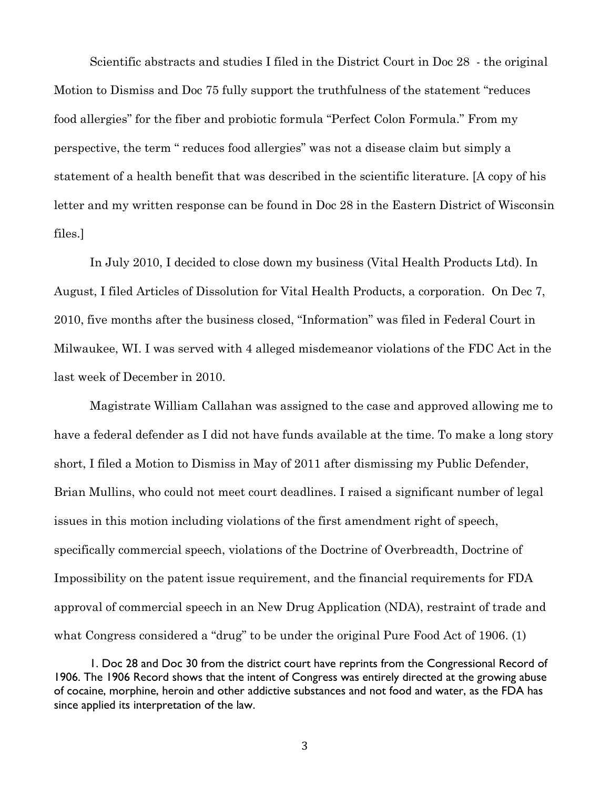Scientific abstracts and studies I filed in the District Court in Doc 28 - the original Motion to Dismiss and Doc 75 fully support the truthfulness of the statement "reduces food allergies" for the fiber and probiotic formula "Perfect Colon Formula." From my perspective, the term " reduces food allergies" was not a disease claim but simply a statement of a health benefit that was described in the scientific literature. [A copy of his letter and my written response can be found in Doc 28 in the Eastern District of Wisconsin files.]

In July 2010, I decided to close down my business (Vital Health Products Ltd). In August, I filed Articles of Dissolution for Vital Health Products, a corporation. On Dec 7, 2010, five months after the business closed, "Information" was filed in Federal Court in Milwaukee, WI. I was served with 4 alleged misdemeanor violations of the FDC Act in the last week of December in 2010.

Magistrate William Callahan was assigned to the case and approved allowing me to have a federal defender as I did not have funds available at the time. To make a long story short, I filed a Motion to Dismiss in May of 2011 after dismissing my Public Defender, Brian Mullins, who could not meet court deadlines. I raised a significant number of legal issues in this motion including violations of the first amendment right of speech, specifically commercial speech, violations of the Doctrine of Overbreadth, Doctrine of Impossibility on the patent issue requirement, and the financial requirements for FDA approval of commercial speech in an New Drug Application (NDA), restraint of trade and what Congress considered a "drug" to be under the original Pure Food Act of 1906. (1)

<sup>1.</sup> Doc 28 and Doc 30 from the district court have reprints from the Congressional Record of 1906. The 1906 Record shows that the intent of Congress was entirely directed at the growing abuse of cocaine, morphine, heroin and other addictive substances and not food and water, as the FDA has since applied its interpretation of the law.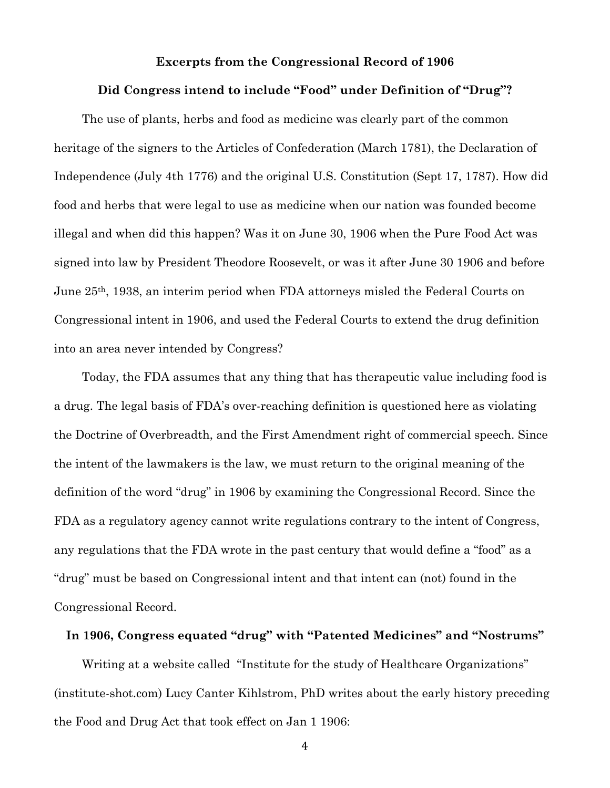### **Excerpts from the Congressional Record of 1906**

#### **Did Congress intend to include "Food" under Definition of "Drug"?**

The use of plants, herbs and food as medicine was clearly part of the common heritage of the signers to the Articles of Confederation (March 1781), the Declaration of Independence (July 4th 1776) and the original U.S. Constitution (Sept 17, 1787). How did food and herbs that were legal to use as medicine when our nation was founded become illegal and when did this happen? Was it on June 30, 1906 when the Pure Food Act was signed into law by President Theodore Roosevelt, or was it after June 30 1906 and before June 25th, 1938, an interim period when FDA attorneys misled the Federal Courts on Congressional intent in 1906, and used the Federal Courts to extend the drug definition into an area never intended by Congress?

Today, the FDA assumes that any thing that has therapeutic value including food is a drug. The legal basis of FDA's over-reaching definition is questioned here as violating the Doctrine of Overbreadth, and the First Amendment right of commercial speech. Since the intent of the lawmakers is the law, we must return to the original meaning of the definition of the word "drug" in 1906 by examining the Congressional Record. Since the FDA as a regulatory agency cannot write regulations contrary to the intent of Congress, any regulations that the FDA wrote in the past century that would define a "food" as a "drug" must be based on Congressional intent and that intent can (not) found in the Congressional Record.

# **In 1906, Congress equated "drug" with "Patented Medicines" and "Nostrums"**

Writing at a website called "Institute for the study of Healthcare Organizations" (institute-shot.com) Lucy Canter Kihlstrom, PhD writes about the early history preceding the Food and Drug Act that took effect on Jan 1 1906:

%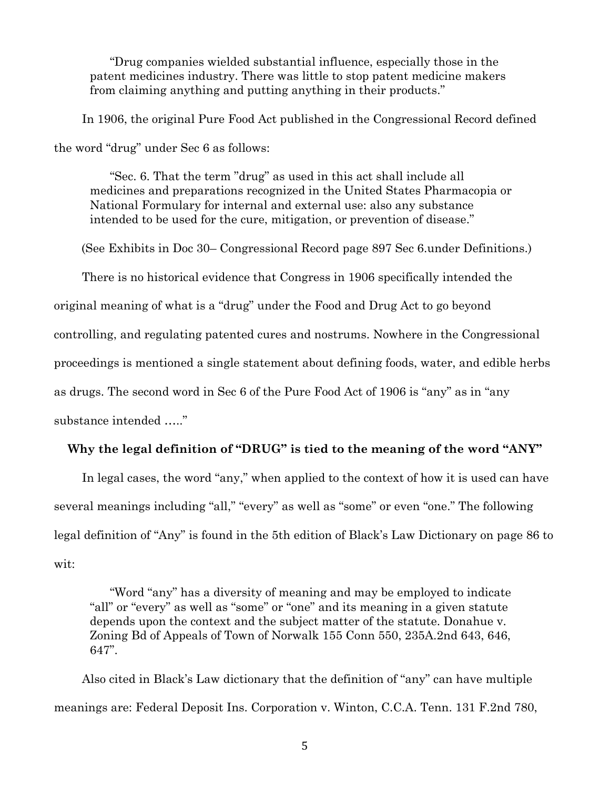"Drug companies wielded substantial influence, especially those in the patent medicines industry. There was little to stop patent medicine makers from claiming anything and putting anything in their products."

In 1906, the original Pure Food Act published in the Congressional Record defined the word "drug" under Sec 6 as follows:

"Sec. 6. That the term "drug" as used in this act shall include all medicines and preparations recognized in the United States Pharmacopia or National Formulary for internal and external use: also any substance intended to be used for the cure, mitigation, or prevention of disease."

(See Exhibits in Doc 30– Congressional Record page 897 Sec 6.under Definitions.)

There is no historical evidence that Congress in 1906 specifically intended the

original meaning of what is a "drug" under the Food and Drug Act to go beyond

controlling, and regulating patented cures and nostrums. Nowhere in the Congressional

proceedings is mentioned a single statement about defining foods, water, and edible herbs

as drugs. The second word in Sec 6 of the Pure Food Act of 1906 is "any" as in "any

substance intended ….."

## **Why the legal definition of "DRUG" is tied to the meaning of the word "ANY"**

In legal cases, the word "any," when applied to the context of how it is used can have several meanings including "all," "every" as well as "some" or even "one." The following legal definition of "Any" is found in the 5th edition of Black's Law Dictionary on page 86 to wit:

"Word "any" has a diversity of meaning and may be employed to indicate "all" or "every" as well as "some" or "one" and its meaning in a given statute depends upon the context and the subject matter of the statute. Donahue v. Zoning Bd of Appeals of Town of Norwalk 155 Conn 550, 235A.2nd 643, 646, 647".

Also cited in Black's Law dictionary that the definition of "any" can have multiple meanings are: Federal Deposit Ins. Corporation v. Winton, C.C.A. Tenn. 131 F.2nd 780,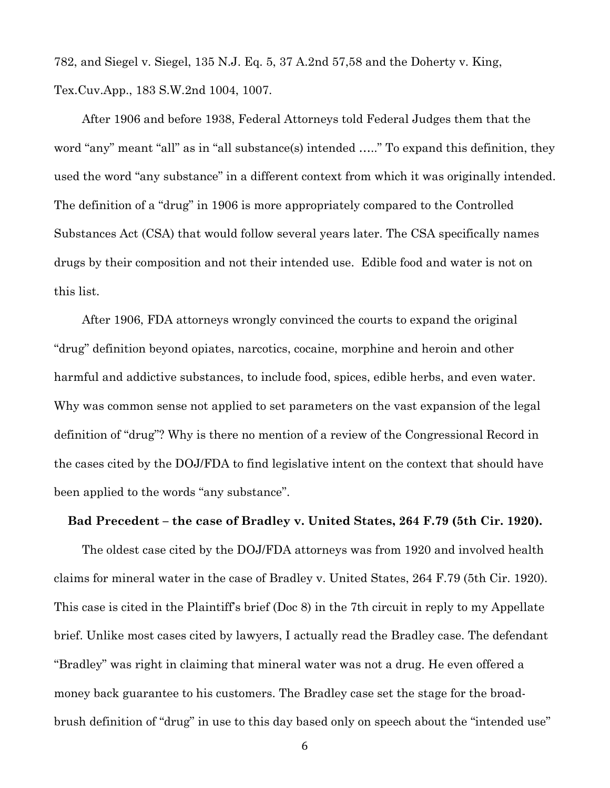782, and Siegel v. Siegel, 135 N.J. Eq. 5, 37 A.2nd 57,58 and the Doherty v. King, Tex.Cuv.App., 183 S.W.2nd 1004, 1007.

After 1906 and before 1938, Federal Attorneys told Federal Judges them that the word "any" meant "all" as in "all substance(s) intended ....." To expand this definition, they used the word "any substance" in a different context from which it was originally intended. The definition of a "drug" in 1906 is more appropriately compared to the Controlled Substances Act (CSA) that would follow several years later. The CSA specifically names drugs by their composition and not their intended use. Edible food and water is not on this list.

After 1906, FDA attorneys wrongly convinced the courts to expand the original "drug" definition beyond opiates, narcotics, cocaine, morphine and heroin and other harmful and addictive substances, to include food, spices, edible herbs, and even water. Why was common sense not applied to set parameters on the vast expansion of the legal definition of "drug"? Why is there no mention of a review of the Congressional Record in the cases cited by the DOJ/FDA to find legislative intent on the context that should have been applied to the words "any substance".

#### **Bad Precedent – the case of Bradley v. United States, 264 F.79 (5th Cir. 1920).**

The oldest case cited by the DOJ/FDA attorneys was from 1920 and involved health claims for mineral water in the case of Bradley v. United States, 264 F.79 (5th Cir. 1920). This case is cited in the Plaintiff's brief (Doc 8) in the 7th circuit in reply to my Appellate brief. Unlike most cases cited by lawyers, I actually read the Bradley case. The defendant "Bradley" was right in claiming that mineral water was not a drug. He even offered a money back guarantee to his customers. The Bradley case set the stage for the broadbrush definition of "drug" in use to this day based only on speech about the "intended use"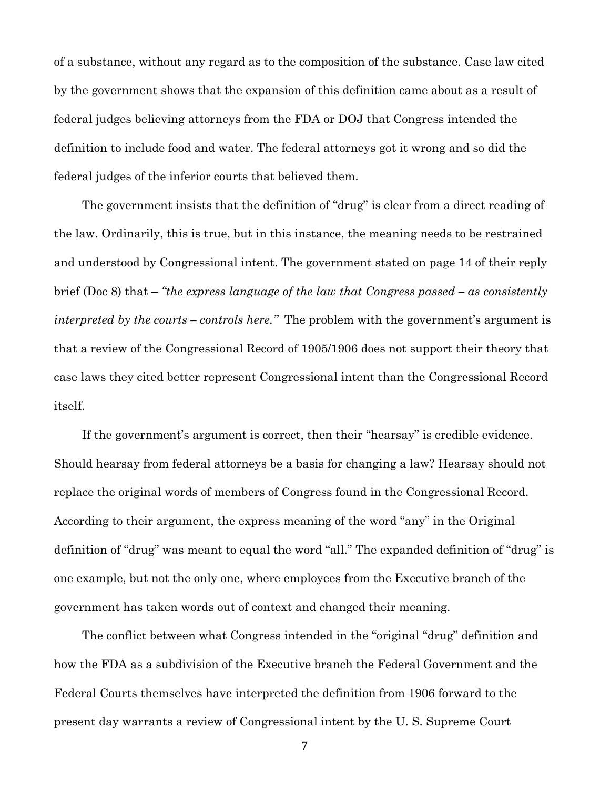of a substance, without any regard as to the composition of the substance. Case law cited by the government shows that the expansion of this definition came about as a result of federal judges believing attorneys from the FDA or DOJ that Congress intended the definition to include food and water. The federal attorneys got it wrong and so did the federal judges of the inferior courts that believed them.

The government insists that the definition of "drug" is clear from a direct reading of the law. Ordinarily, this is true, but in this instance, the meaning needs to be restrained and understood by Congressional intent. The government stated on page 14 of their reply brief (Doc 8) that – *"the express language of the law that Congress passed – as consistently interpreted by the courts – controls here."* The problem with the government's argument is that a review of the Congressional Record of 1905/1906 does not support their theory that case laws they cited better represent Congressional intent than the Congressional Record itself.

If the government's argument is correct, then their "hearsay" is credible evidence. Should hearsay from federal attorneys be a basis for changing a law? Hearsay should not replace the original words of members of Congress found in the Congressional Record. According to their argument, the express meaning of the word "any" in the Original definition of "drug" was meant to equal the word "all." The expanded definition of "drug" is one example, but not the only one, where employees from the Executive branch of the government has taken words out of context and changed their meaning.

The conflict between what Congress intended in the "original "drug" definition and how the FDA as a subdivision of the Executive branch the Federal Government and the Federal Courts themselves have interpreted the definition from 1906 forward to the present day warrants a review of Congressional intent by the U. S. Supreme Court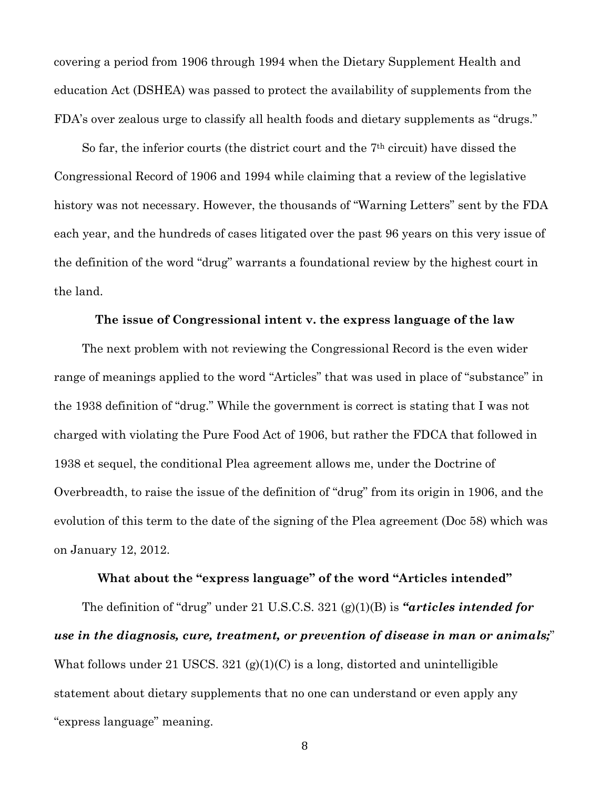covering a period from 1906 through 1994 when the Dietary Supplement Health and education Act (DSHEA) was passed to protect the availability of supplements from the FDA's over zealous urge to classify all health foods and dietary supplements as "drugs."

So far, the inferior courts (the district court and the 7th circuit) have dissed the Congressional Record of 1906 and 1994 while claiming that a review of the legislative history was not necessary. However, the thousands of "Warning Letters" sent by the FDA each year, and the hundreds of cases litigated over the past 96 years on this very issue of the definition of the word "drug" warrants a foundational review by the highest court in the land.

#### **The issue of Congressional intent v. the express language of the law**

The next problem with not reviewing the Congressional Record is the even wider range of meanings applied to the word "Articles" that was used in place of "substance" in the 1938 definition of "drug." While the government is correct is stating that I was not charged with violating the Pure Food Act of 1906, but rather the FDCA that followed in 1938 et sequel, the conditional Plea agreement allows me, under the Doctrine of Overbreadth, to raise the issue of the definition of "drug" from its origin in 1906, and the evolution of this term to the date of the signing of the Plea agreement (Doc 58) which was on January 12, 2012.

#### **What about the "express language" of the word "Articles intended"**

The definition of "drug" under 21 U.S.C.S. 321 (g)(1)(B) is *"articles intended for use in the diagnosis, cure, treatment, or prevention of disease in man or animals;*" What follows under 21 USCS.  $321$  (g)(1)(C) is a long, distorted and unintelligible statement about dietary supplements that no one can understand or even apply any "express language" meaning.

)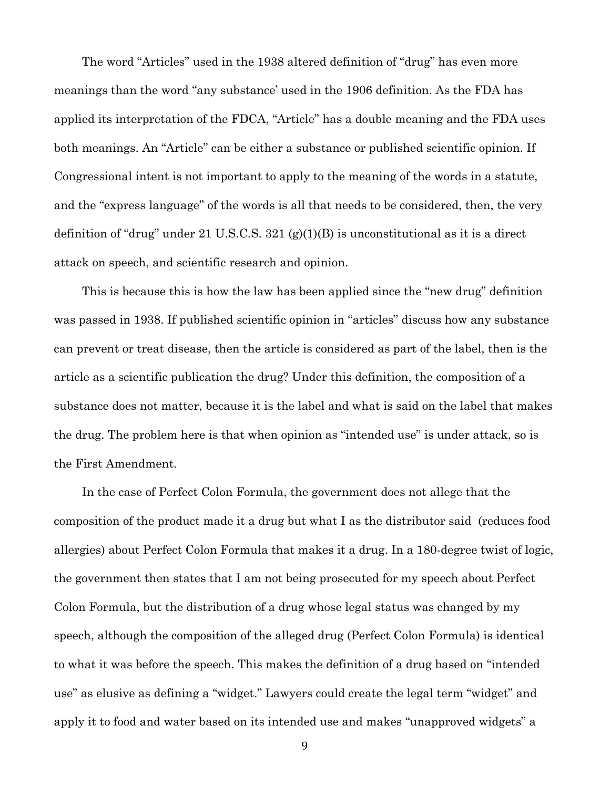The word "Articles" used in the 1938 altered definition of "drug" has even more meanings than the word "any substance' used in the 1906 definition. As the FDA has applied its interpretation of the FDCA, "Article" has a double meaning and the FDA uses both meanings. An "Article" can be either a substance or published scientific opinion. If Congressional intent is not important to apply to the meaning of the words in a statute, and the "express language" of the words is all that needs to be considered, then, the very definition of "drug" under 21 U.S.C.S. 321 (g)(1)(B) is unconstitutional as it is a direct attack on speech, and scientific research and opinion.

This is because this is how the law has been applied since the "new drug" definition was passed in 1938. If published scientific opinion in "articles" discuss how any substance can prevent or treat disease, then the article is considered as part of the label, then is the article as a scientific publication the drug? Under this definition, the composition of a substance does not matter, because it is the label and what is said on the label that makes the drug. The problem here is that when opinion as "intended use" is under attack, so is the First Amendment.

In the case of Perfect Colon Formula, the government does not allege that the composition of the product made it a drug but what I as the distributor said (reduces food allergies) about Perfect Colon Formula that makes it a drug. In a 180-degree twist of logic, the government then states that I am not being prosecuted for my speech about Perfect Colon Formula, but the distribution of a drug whose legal status was changed by my speech, although the composition of the alleged drug (Perfect Colon Formula) is identical to what it was before the speech. This makes the definition of a drug based on "intended use" as elusive as defining a "widget." Lawyers could create the legal term "widget" and apply it to food and water based on its intended use and makes "unapproved widgets" a

\*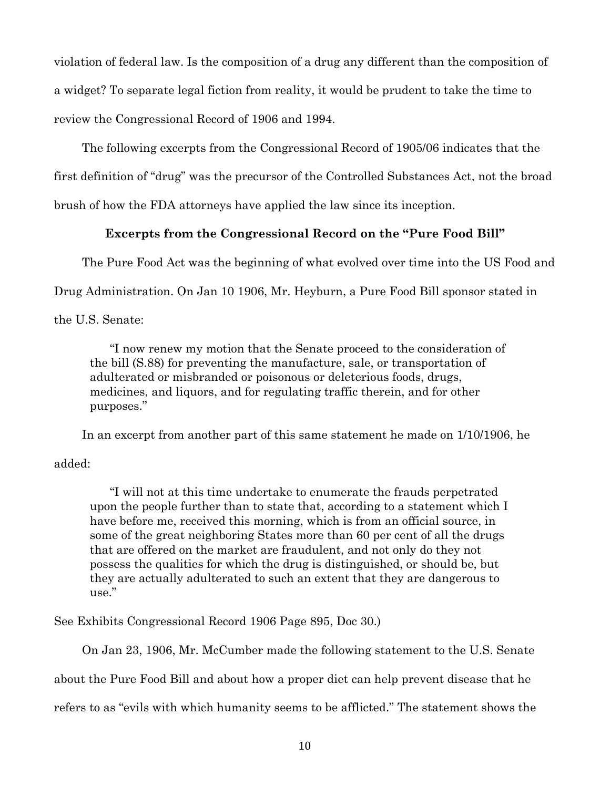violation of federal law. Is the composition of a drug any different than the composition of a widget? To separate legal fiction from reality, it would be prudent to take the time to review the Congressional Record of 1906 and 1994.

The following excerpts from the Congressional Record of 1905/06 indicates that the first definition of "drug" was the precursor of the Controlled Substances Act, not the broad brush of how the FDA attorneys have applied the law since its inception.

## **Excerpts from the Congressional Record on the "Pure Food Bill"**

The Pure Food Act was the beginning of what evolved over time into the US Food and

Drug Administration. On Jan 10 1906, Mr. Heyburn, a Pure Food Bill sponsor stated in

the U.S. Senate:

"I now renew my motion that the Senate proceed to the consideration of the bill (S.88) for preventing the manufacture, sale, or transportation of adulterated or misbranded or poisonous or deleterious foods, drugs, medicines, and liquors, and for regulating traffic therein, and for other purposes."

In an excerpt from another part of this same statement he made on 1/10/1906, he

## added:

"I will not at this time undertake to enumerate the frauds perpetrated upon the people further than to state that, according to a statement which I have before me, received this morning, which is from an official source, in some of the great neighboring States more than 60 per cent of all the drugs that are offered on the market are fraudulent, and not only do they not possess the qualities for which the drug is distinguished, or should be, but they are actually adulterated to such an extent that they are dangerous to use."

See Exhibits Congressional Record 1906 Page 895, Doc 30.)

On Jan 23, 1906, Mr. McCumber made the following statement to the U.S. Senate

about the Pure Food Bill and about how a proper diet can help prevent disease that he

refers to as "evils with which humanity seems to be afflicted." The statement shows the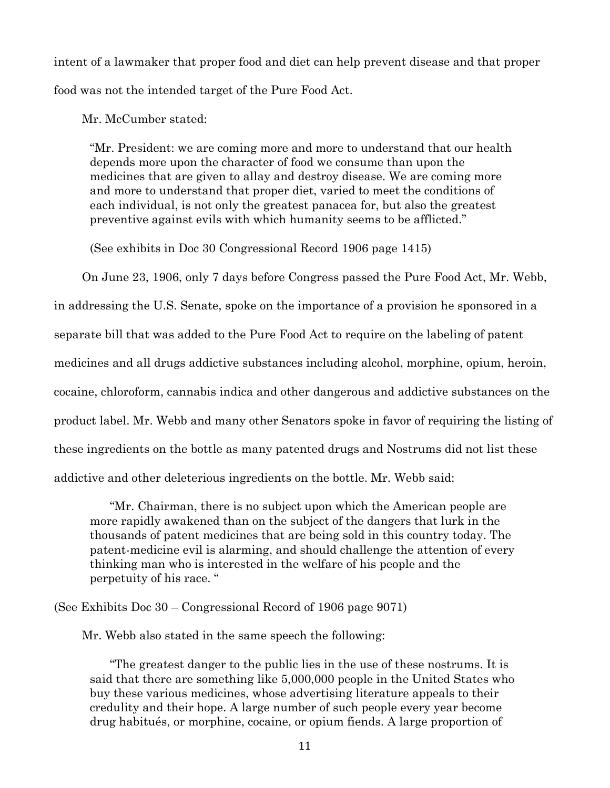intent of a lawmaker that proper food and diet can help prevent disease and that proper food was not the intended target of the Pure Food Act.

Mr. McCumber stated:

"Mr. President: we are coming more and more to understand that our health depends more upon the character of food we consume than upon the medicines that are given to allay and destroy disease. We are coming more and more to understand that proper diet, varied to meet the conditions of each individual, is not only the greatest panacea for, but also the greatest preventive against evils with which humanity seems to be afflicted."

(See exhibits in Doc 30 Congressional Record 1906 page 1415)

On June 23, 1906, only 7 days before Congress passed the Pure Food Act, Mr. Webb,

in addressing the U.S. Senate, spoke on the importance of a provision he sponsored in a

separate bill that was added to the Pure Food Act to require on the labeling of patent

medicines and all drugs addictive substances including alcohol, morphine, opium, heroin,

cocaine, chloroform, cannabis indica and other dangerous and addictive substances on the

product label. Mr. Webb and many other Senators spoke in favor of requiring the listing of

these ingredients on the bottle as many patented drugs and Nostrums did not list these

addictive and other deleterious ingredients on the bottle. Mr. Webb said:

"Mr. Chairman, there is no subject upon which the American people are more rapidly awakened than on the subject of the dangers that lurk in the thousands of patent medicines that are being sold in this country today. The patent-medicine evil is alarming, and should challenge the attention of every thinking man who is interested in the welfare of his people and the perpetuity of his race. "

(See Exhibits Doc 30 – Congressional Record of 1906 page 9071)

Mr. Webb also stated in the same speech the following:

"The greatest danger to the public lies in the use of these nostrums. It is said that there are something like 5,000,000 people in the United States who buy these various medicines, whose advertising literature appeals to their credulity and their hope. A large number of such people every year become drug habitués, or morphine, cocaine, or opium fiends. A large proportion of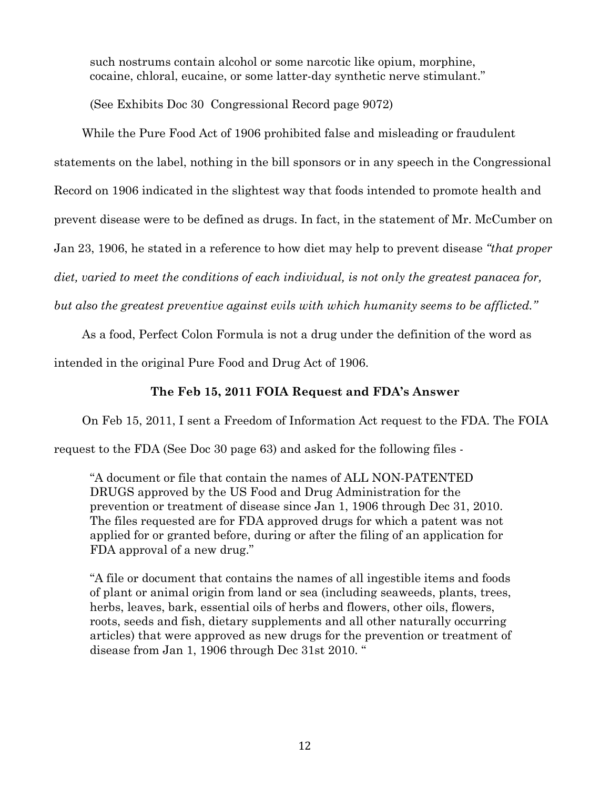such nostrums contain alcohol or some narcotic like opium, morphine, cocaine, chloral, eucaine, or some latter-day synthetic nerve stimulant."

(See Exhibits Doc 30 Congressional Record page 9072)

While the Pure Food Act of 1906 prohibited false and misleading or fraudulent statements on the label, nothing in the bill sponsors or in any speech in the Congressional Record on 1906 indicated in the slightest way that foods intended to promote health and prevent disease were to be defined as drugs. In fact, in the statement of Mr. McCumber on Jan 23, 1906, he stated in a reference to how diet may help to prevent disease *"that proper diet, varied to meet the conditions of each individual, is not only the greatest panacea for,* 

*but also the greatest preventive against evils with which humanity seems to be afflicted."*

As a food, Perfect Colon Formula is not a drug under the definition of the word as

intended in the original Pure Food and Drug Act of 1906.

# **The Feb 15, 2011 FOIA Request and FDA's Answer**

On Feb 15, 2011, I sent a Freedom of Information Act request to the FDA. The FOIA

request to the FDA (See Doc 30 page 63) and asked for the following files -

"A document or file that contain the names of ALL NON-PATENTED DRUGS approved by the US Food and Drug Administration for the prevention or treatment of disease since Jan 1, 1906 through Dec 31, 2010. The files requested are for FDA approved drugs for which a patent was not applied for or granted before, during or after the filing of an application for FDA approval of a new drug."

"A file or document that contains the names of all ingestible items and foods of plant or animal origin from land or sea (including seaweeds, plants, trees, herbs, leaves, bark, essential oils of herbs and flowers, other oils, flowers, roots, seeds and fish, dietary supplements and all other naturally occurring articles) that were approved as new drugs for the prevention or treatment of disease from Jan 1, 1906 through Dec 31st 2010. "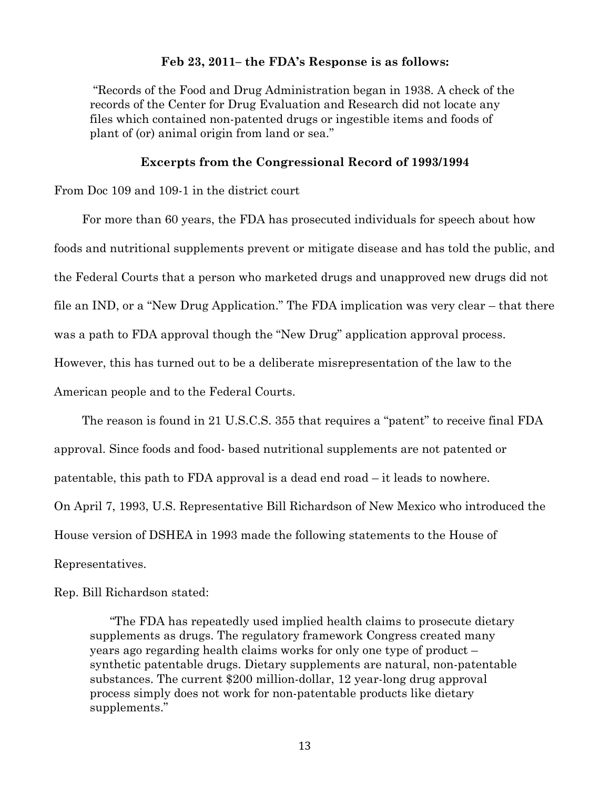### **Feb 23, 2011– the FDA's Response is as follows:**

"Records of the Food and Drug Administration began in 1938. A check of the records of the Center for Drug Evaluation and Research did not locate any files which contained non-patented drugs or ingestible items and foods of plant of (or) animal origin from land or sea."

#### **Excerpts from the Congressional Record of 1993/1994**

From Doc 109 and 109-1 in the district court

For more than 60 years, the FDA has prosecuted individuals for speech about how foods and nutritional supplements prevent or mitigate disease and has told the public, and the Federal Courts that a person who marketed drugs and unapproved new drugs did not file an IND, or a "New Drug Application." The FDA implication was very clear – that there was a path to FDA approval though the "New Drug" application approval process. However, this has turned out to be a deliberate misrepresentation of the law to the American people and to the Federal Courts.

The reason is found in 21 U.S.C.S. 355 that requires a "patent" to receive final FDA approval. Since foods and food- based nutritional supplements are not patented or patentable, this path to FDA approval is a dead end road – it leads to nowhere. On April 7, 1993, U.S. Representative Bill Richardson of New Mexico who introduced the House version of DSHEA in 1993 made the following statements to the House of Representatives.

## Rep. Bill Richardson stated:

"The FDA has repeatedly used implied health claims to prosecute dietary supplements as drugs. The regulatory framework Congress created many years ago regarding health claims works for only one type of product – synthetic patentable drugs. Dietary supplements are natural, non-patentable substances. The current \$200 million-dollar, 12 year-long drug approval process simply does not work for non-patentable products like dietary supplements."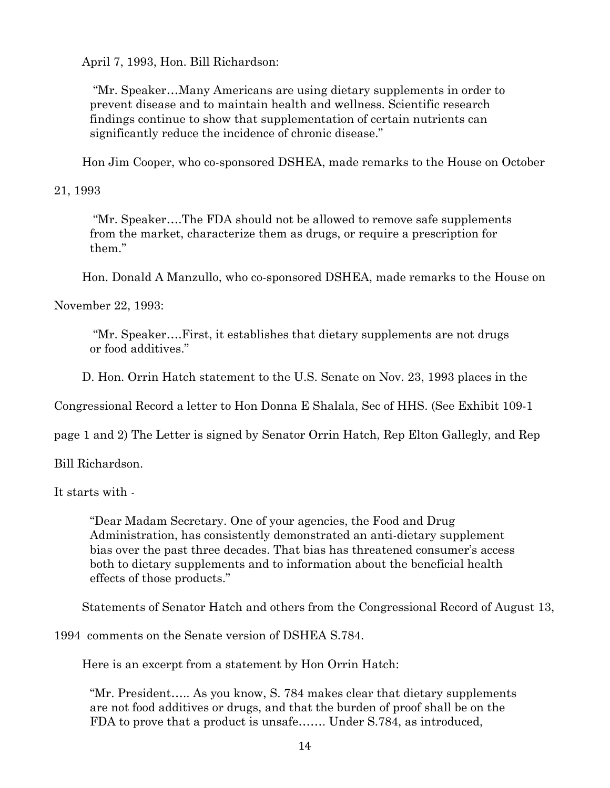April 7, 1993, Hon. Bill Richardson:

"Mr. Speaker…Many Americans are using dietary supplements in order to prevent disease and to maintain health and wellness. Scientific research findings continue to show that supplementation of certain nutrients can significantly reduce the incidence of chronic disease."

Hon Jim Cooper, who co-sponsored DSHEA, made remarks to the House on October

21, 1993

"Mr. Speaker….The FDA should not be allowed to remove safe supplements from the market, characterize them as drugs, or require a prescription for them."

Hon. Donald A Manzullo, who co-sponsored DSHEA, made remarks to the House on

November 22, 1993:

"Mr. Speaker….First, it establishes that dietary supplements are not drugs or food additives."

D. Hon. Orrin Hatch statement to the U.S. Senate on Nov. 23, 1993 places in the

Congressional Record a letter to Hon Donna E Shalala, Sec of HHS. (See Exhibit 109-1

page 1 and 2) The Letter is signed by Senator Orrin Hatch, Rep Elton Gallegly, and Rep

Bill Richardson.

It starts with -

"Dear Madam Secretary. One of your agencies, the Food and Drug Administration, has consistently demonstrated an anti-dietary supplement bias over the past three decades. That bias has threatened consumer's access both to dietary supplements and to information about the beneficial health effects of those products."

Statements of Senator Hatch and others from the Congressional Record of August 13,

1994 comments on the Senate version of DSHEA S.784.

Here is an excerpt from a statement by Hon Orrin Hatch:

"Mr. President….. As you know, S. 784 makes clear that dietary supplements are not food additives or drugs, and that the burden of proof shall be on the FDA to prove that a product is unsafe....... Under S.784, as introduced,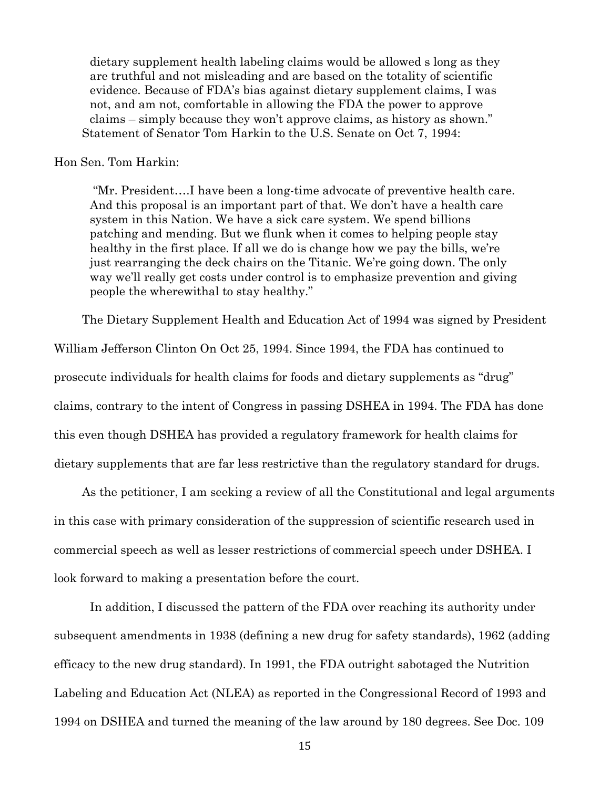dietary supplement health labeling claims would be allowed s long as they are truthful and not misleading and are based on the totality of scientific evidence. Because of FDA's bias against dietary supplement claims, I was not, and am not, comfortable in allowing the FDA the power to approve claims – simply because they won't approve claims, as history as shown." Statement of Senator Tom Harkin to the U.S. Senate on Oct 7, 1994:

### Hon Sen. Tom Harkin:

"Mr. President….I have been a long-time advocate of preventive health care. And this proposal is an important part of that. We don't have a health care system in this Nation. We have a sick care system. We spend billions patching and mending. But we flunk when it comes to helping people stay healthy in the first place. If all we do is change how we pay the bills, we're just rearranging the deck chairs on the Titanic. We're going down. The only way we'll really get costs under control is to emphasize prevention and giving people the wherewithal to stay healthy."

The Dietary Supplement Health and Education Act of 1994 was signed by President

William Jefferson Clinton On Oct 25, 1994. Since 1994, the FDA has continued to prosecute individuals for health claims for foods and dietary supplements as "drug" claims, contrary to the intent of Congress in passing DSHEA in 1994. The FDA has done this even though DSHEA has provided a regulatory framework for health claims for dietary supplements that are far less restrictive than the regulatory standard for drugs.

As the petitioner, I am seeking a review of all the Constitutional and legal arguments in this case with primary consideration of the suppression of scientific research used in commercial speech as well as lesser restrictions of commercial speech under DSHEA. I look forward to making a presentation before the court.

In addition, I discussed the pattern of the FDA over reaching its authority under subsequent amendments in 1938 (defining a new drug for safety standards), 1962 (adding efficacy to the new drug standard). In 1991, the FDA outright sabotaged the Nutrition Labeling and Education Act (NLEA) as reported in the Congressional Record of 1993 and 1994 on DSHEA and turned the meaning of the law around by 180 degrees. See Doc. 109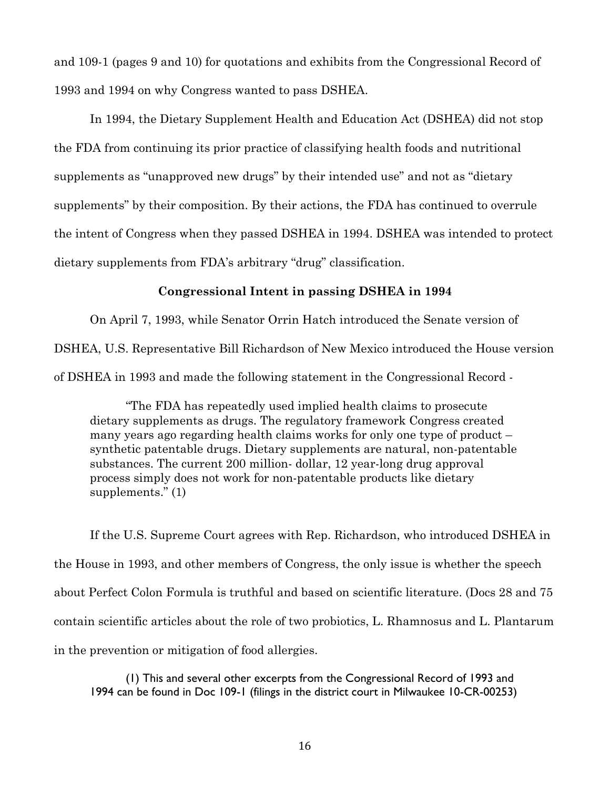and 109-1 (pages 9 and 10) for quotations and exhibits from the Congressional Record of 1993 and 1994 on why Congress wanted to pass DSHEA.

In 1994, the Dietary Supplement Health and Education Act (DSHEA) did not stop the FDA from continuing its prior practice of classifying health foods and nutritional supplements as "unapproved new drugs" by their intended use" and not as "dietary supplements" by their composition. By their actions, the FDA has continued to overrule the intent of Congress when they passed DSHEA in 1994. DSHEA was intended to protect dietary supplements from FDA's arbitrary "drug" classification.

## **Congressional Intent in passing DSHEA in 1994**

On April 7, 1993, while Senator Orrin Hatch introduced the Senate version of DSHEA, U.S. Representative Bill Richardson of New Mexico introduced the House version of DSHEA in 1993 and made the following statement in the Congressional Record -

"The FDA has repeatedly used implied health claims to prosecute dietary supplements as drugs. The regulatory framework Congress created many years ago regarding health claims works for only one type of product – synthetic patentable drugs. Dietary supplements are natural, non-patentable substances. The current 200 million- dollar, 12 year-long drug approval process simply does not work for non-patentable products like dietary supplements." (1)

If the U.S. Supreme Court agrees with Rep. Richardson, who introduced DSHEA in the House in 1993, and other members of Congress, the only issue is whether the speech about Perfect Colon Formula is truthful and based on scientific literature. (Docs 28 and 75 contain scientific articles about the role of two probiotics, L. Rhamnosus and L. Plantarum in the prevention or mitigation of food allergies.

(1) This and several other excerpts from the Congressional Record of 1993 and 1994 can be found in Doc 109-1 (filings in the district court in Milwaukee 10-CR-00253)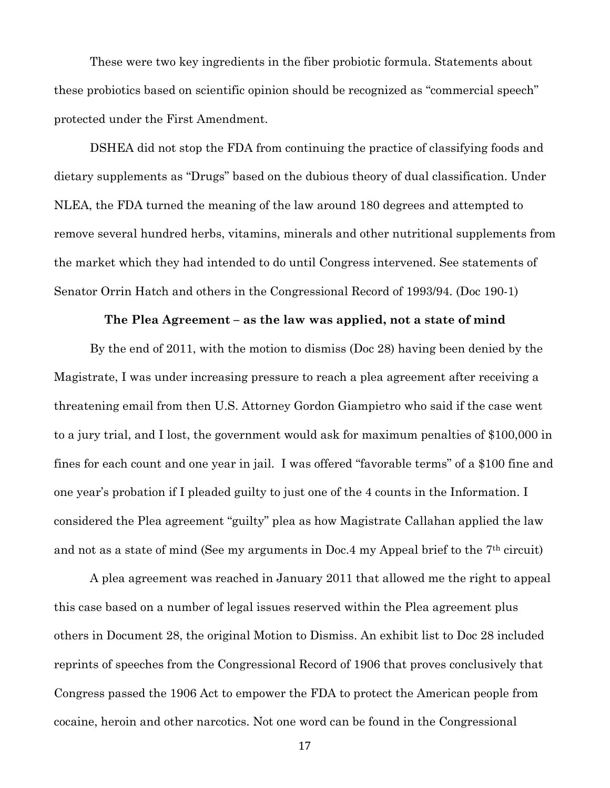These were two key ingredients in the fiber probiotic formula. Statements about these probiotics based on scientific opinion should be recognized as "commercial speech" protected under the First Amendment.

DSHEA did not stop the FDA from continuing the practice of classifying foods and dietary supplements as "Drugs" based on the dubious theory of dual classification. Under NLEA, the FDA turned the meaning of the law around 180 degrees and attempted to remove several hundred herbs, vitamins, minerals and other nutritional supplements from the market which they had intended to do until Congress intervened. See statements of Senator Orrin Hatch and others in the Congressional Record of 1993/94. (Doc 190-1)

#### **The Plea Agreement – as the law was applied, not a state of mind**

By the end of 2011, with the motion to dismiss (Doc 28) having been denied by the Magistrate, I was under increasing pressure to reach a plea agreement after receiving a threatening email from then U.S. Attorney Gordon Giampietro who said if the case went to a jury trial, and I lost, the government would ask for maximum penalties of \$100,000 in fines for each count and one year in jail. I was offered "favorable terms" of a \$100 fine and one year's probation if I pleaded guilty to just one of the 4 counts in the Information. I considered the Plea agreement "guilty" plea as how Magistrate Callahan applied the law and not as a state of mind (See my arguments in Doc.4 my Appeal brief to the 7th circuit)

A plea agreement was reached in January 2011 that allowed me the right to appeal this case based on a number of legal issues reserved within the Plea agreement plus others in Document 28, the original Motion to Dismiss. An exhibit list to Doc 28 included reprints of speeches from the Congressional Record of 1906 that proves conclusively that Congress passed the 1906 Act to empower the FDA to protect the American people from cocaine, heroin and other narcotics. Not one word can be found in the Congressional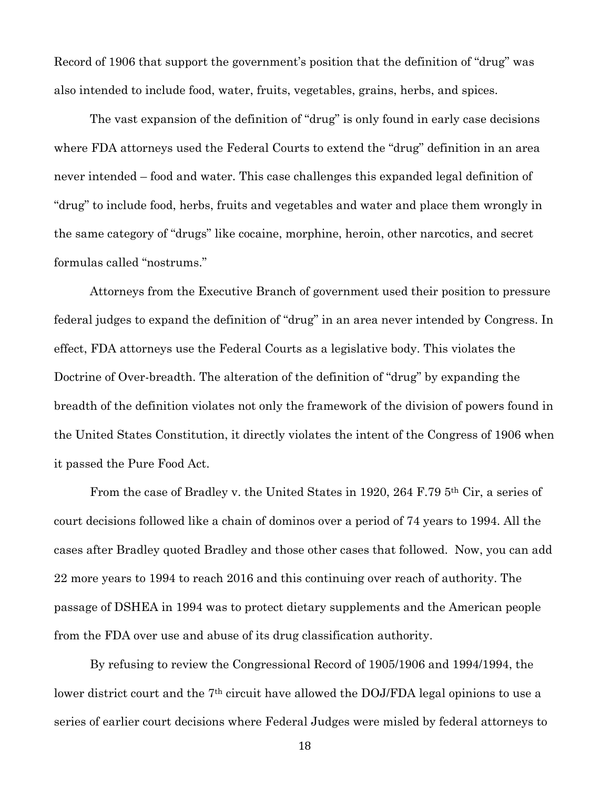Record of 1906 that support the government's position that the definition of "drug" was also intended to include food, water, fruits, vegetables, grains, herbs, and spices.

The vast expansion of the definition of "drug" is only found in early case decisions where FDA attorneys used the Federal Courts to extend the "drug" definition in an area never intended – food and water. This case challenges this expanded legal definition of "drug" to include food, herbs, fruits and vegetables and water and place them wrongly in the same category of "drugs" like cocaine, morphine, heroin, other narcotics, and secret formulas called "nostrums."

Attorneys from the Executive Branch of government used their position to pressure federal judges to expand the definition of "drug" in an area never intended by Congress. In effect, FDA attorneys use the Federal Courts as a legislative body. This violates the Doctrine of Over-breadth. The alteration of the definition of "drug" by expanding the breadth of the definition violates not only the framework of the division of powers found in the United States Constitution, it directly violates the intent of the Congress of 1906 when it passed the Pure Food Act.

From the case of Bradley v. the United States in 1920, 264 F.79 5th Cir, a series of court decisions followed like a chain of dominos over a period of 74 years to 1994. All the cases after Bradley quoted Bradley and those other cases that followed. Now, you can add 22 more years to 1994 to reach 2016 and this continuing over reach of authority. The passage of DSHEA in 1994 was to protect dietary supplements and the American people from the FDA over use and abuse of its drug classification authority.

By refusing to review the Congressional Record of 1905/1906 and 1994/1994, the lower district court and the 7<sup>th</sup> circuit have allowed the DOJ/FDA legal opinions to use a series of earlier court decisions where Federal Judges were misled by federal attorneys to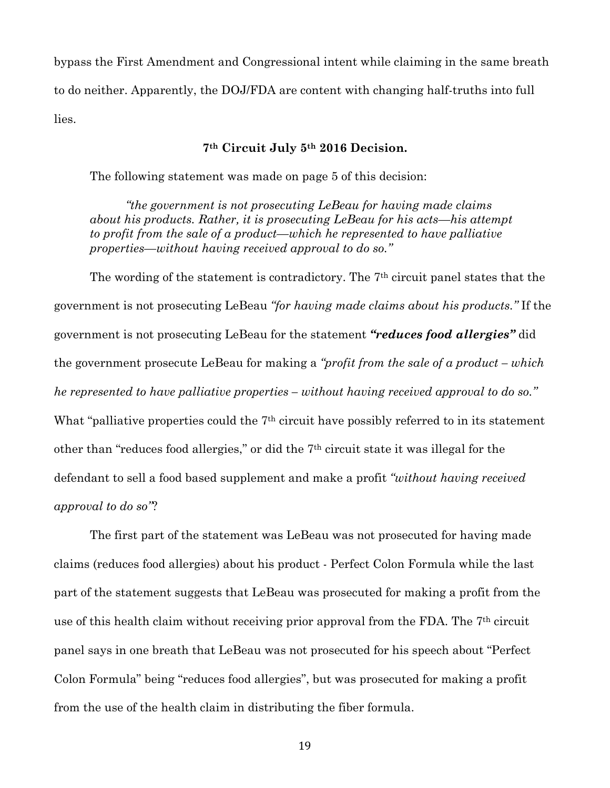bypass the First Amendment and Congressional intent while claiming in the same breath to do neither. Apparently, the DOJ/FDA are content with changing half-truths into full lies.

## **7th Circuit July 5th 2016 Decision.**

The following statement was made on page 5 of this decision:

*"the government is not prosecuting LeBeau for having made claims about his products. Rather, it is prosecuting LeBeau for his acts—his attempt to profit from the sale of a product—which he represented to have palliative properties—without having received approval to do so."*

The wording of the statement is contradictory. The 7th circuit panel states that the government is not prosecuting LeBeau *"for having made claims about his products."* If the government is not prosecuting LeBeau for the statement *"reduces food allergies"* did the government prosecute LeBeau for making a *"profit from the sale of a product – which he represented to have palliative properties – without having received approval to do so."*  What "palliative properties could the 7<sup>th</sup> circuit have possibly referred to in its statement other than "reduces food allergies," or did the 7th circuit state it was illegal for the defendant to sell a food based supplement and make a profit *"without having received approval to do so"*?

The first part of the statement was LeBeau was not prosecuted for having made claims (reduces food allergies) about his product - Perfect Colon Formula while the last part of the statement suggests that LeBeau was prosecuted for making a profit from the use of this health claim without receiving prior approval from the FDA. The 7<sup>th</sup> circuit panel says in one breath that LeBeau was not prosecuted for his speech about "Perfect Colon Formula" being "reduces food allergies", but was prosecuted for making a profit from the use of the health claim in distributing the fiber formula.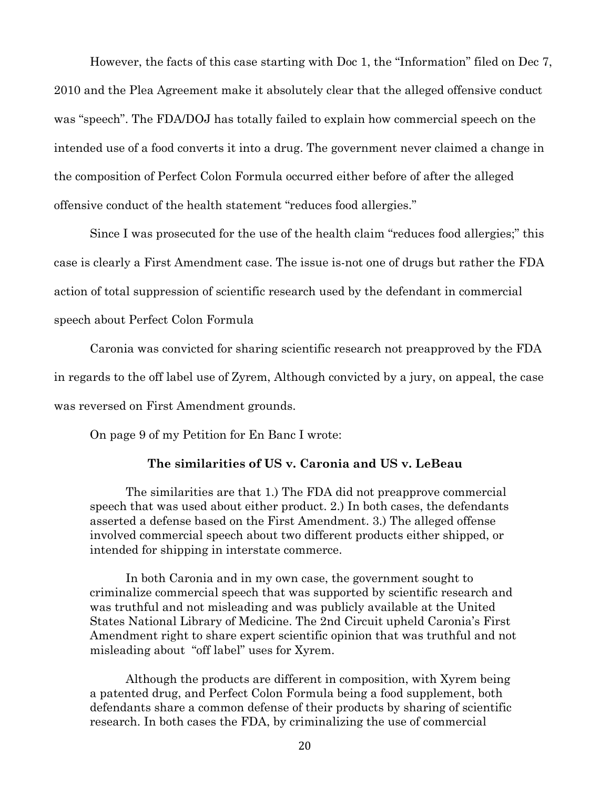However, the facts of this case starting with Doc 1, the "Information" filed on Dec 7, 2010 and the Plea Agreement make it absolutely clear that the alleged offensive conduct was "speech". The FDA/DOJ has totally failed to explain how commercial speech on the intended use of a food converts it into a drug. The government never claimed a change in the composition of Perfect Colon Formula occurred either before of after the alleged offensive conduct of the health statement "reduces food allergies."

Since I was prosecuted for the use of the health claim "reduces food allergies;" this case is clearly a First Amendment case. The issue is-not one of drugs but rather the FDA action of total suppression of scientific research used by the defendant in commercial speech about Perfect Colon Formula

Caronia was convicted for sharing scientific research not preapproved by the FDA in regards to the off label use of Zyrem, Although convicted by a jury, on appeal, the case was reversed on First Amendment grounds.

On page 9 of my Petition for En Banc I wrote:

## **The similarities of US v. Caronia and US v. LeBeau**

The similarities are that 1.) The FDA did not preapprove commercial speech that was used about either product. 2.) In both cases, the defendants asserted a defense based on the First Amendment. 3.) The alleged offense involved commercial speech about two different products either shipped, or intended for shipping in interstate commerce.

In both Caronia and in my own case, the government sought to criminalize commercial speech that was supported by scientific research and was truthful and not misleading and was publicly available at the United States National Library of Medicine. The 2nd Circuit upheld Caronia's First Amendment right to share expert scientific opinion that was truthful and not misleading about "off label" uses for Xyrem.

Although the products are different in composition, with Xyrem being a patented drug, and Perfect Colon Formula being a food supplement, both defendants share a common defense of their products by sharing of scientific research. In both cases the FDA, by criminalizing the use of commercial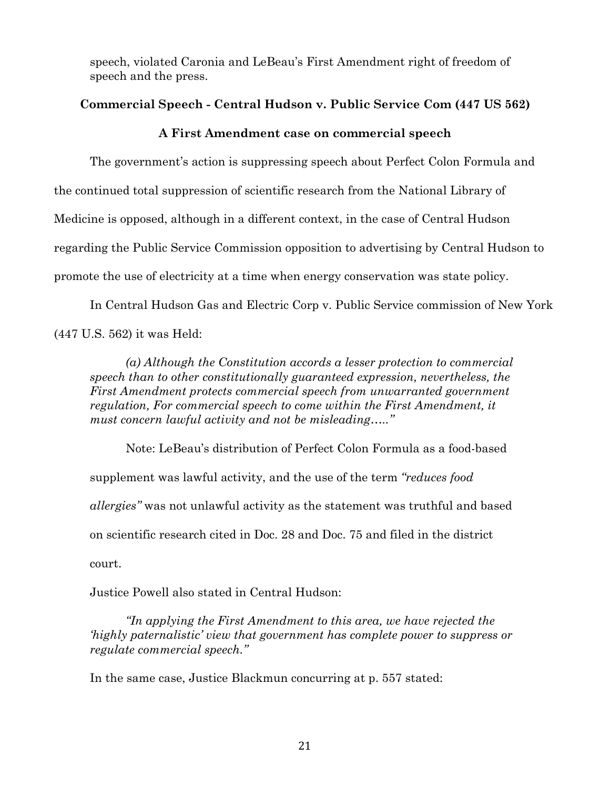speech, violated Caronia and LeBeau's First Amendment right of freedom of speech and the press.

# **Commercial Speech - Central Hudson v. Public Service Com (447 US 562)**

## **A First Amendment case on commercial speech**

The government's action is suppressing speech about Perfect Colon Formula and the continued total suppression of scientific research from the National Library of Medicine is opposed, although in a different context, in the case of Central Hudson regarding the Public Service Commission opposition to advertising by Central Hudson to promote the use of electricity at a time when energy conservation was state policy.

In Central Hudson Gas and Electric Corp v. Public Service commission of New York (447 U.S. 562) it was Held:

*(a) Although the Constitution accords a lesser protection to commercial speech than to other constitutionally guaranteed expression, nevertheless, the First Amendment protects commercial speech from unwarranted government regulation, For commercial speech to come within the First Amendment, it must concern lawful activity and not be misleading….."*

Note: LeBeau's distribution of Perfect Colon Formula as a food-based supplement was lawful activity, and the use of the term *"reduces food allergies"* was not unlawful activity as the statement was truthful and based on scientific research cited in Doc. 28 and Doc. 75 and filed in the district court.

Justice Powell also stated in Central Hudson:

*"In applying the First Amendment to this area, we have rejected the 'highly paternalistic' view that government has complete power to suppress or regulate commercial speech."*

In the same case, Justice Blackmun concurring at p. 557 stated: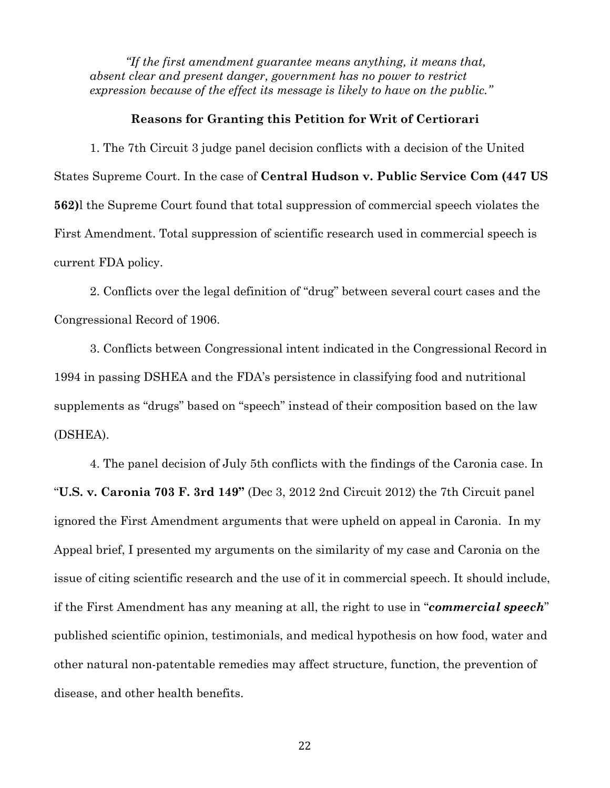*"If the first amendment guarantee means anything, it means that, absent clear and present danger, government has no power to restrict expression because of the effect its message is likely to have on the public."*

#### **Reasons for Granting this Petition for Writ of Certiorari**

1. The 7th Circuit 3 judge panel decision conflicts with a decision of the United States Supreme Court. In the case of **Central Hudson v. Public Service Com (447 US 562)**l the Supreme Court found that total suppression of commercial speech violates the First Amendment. Total suppression of scientific research used in commercial speech is current FDA policy.

2. Conflicts over the legal definition of "drug" between several court cases and the Congressional Record of 1906.

3. Conflicts between Congressional intent indicated in the Congressional Record in 1994 in passing DSHEA and the FDA's persistence in classifying food and nutritional supplements as "drugs" based on "speech" instead of their composition based on the law (DSHEA).

4. The panel decision of July 5th conflicts with the findings of the Caronia case. In "**U.S. v. Caronia 703 F. 3rd 149"** (Dec 3, 2012 2nd Circuit 2012) the 7th Circuit panel ignored the First Amendment arguments that were upheld on appeal in Caronia. In my Appeal brief, I presented my arguments on the similarity of my case and Caronia on the issue of citing scientific research and the use of it in commercial speech. It should include, if the First Amendment has any meaning at all, the right to use in "*commercial speech*" published scientific opinion, testimonials, and medical hypothesis on how food, water and other natural non-patentable remedies may affect structure, function, the prevention of disease, and other health benefits.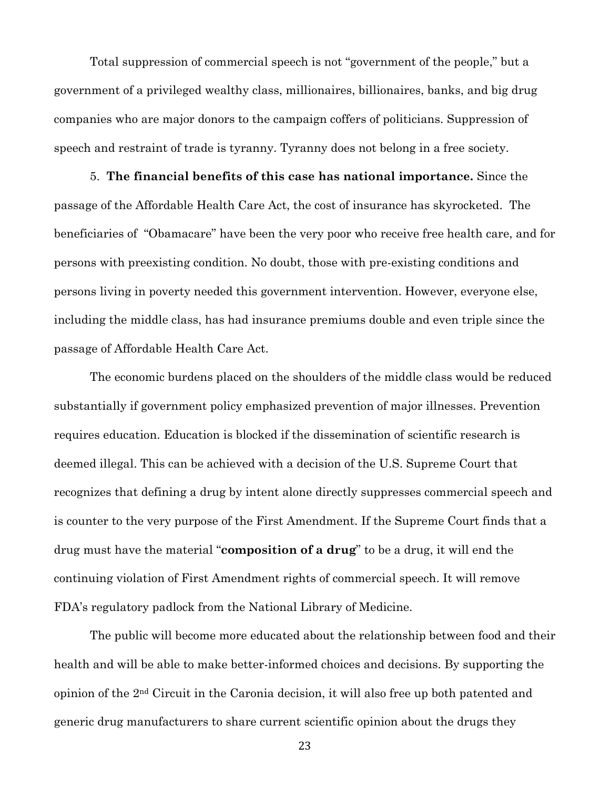Total suppression of commercial speech is not "government of the people," but a government of a privileged wealthy class, millionaires, billionaires, banks, and big drug companies who are major donors to the campaign coffers of politicians. Suppression of speech and restraint of trade is tyranny. Tyranny does not belong in a free society.

5. **The financial benefits of this case has national importance.** Since the passage of the Affordable Health Care Act, the cost of insurance has skyrocketed. The beneficiaries of "Obamacare" have been the very poor who receive free health care, and for persons with preexisting condition. No doubt, those with pre-existing conditions and persons living in poverty needed this government intervention. However, everyone else, including the middle class, has had insurance premiums double and even triple since the passage of Affordable Health Care Act.

The economic burdens placed on the shoulders of the middle class would be reduced substantially if government policy emphasized prevention of major illnesses. Prevention requires education. Education is blocked if the dissemination of scientific research is deemed illegal. This can be achieved with a decision of the U.S. Supreme Court that recognizes that defining a drug by intent alone directly suppresses commercial speech and is counter to the very purpose of the First Amendment. If the Supreme Court finds that a drug must have the material "**composition of a drug**" to be a drug, it will end the continuing violation of First Amendment rights of commercial speech. It will remove FDA's regulatory padlock from the National Library of Medicine.

The public will become more educated about the relationship between food and their health and will be able to make better-informed choices and decisions. By supporting the opinion of the 2nd Circuit in the Caronia decision, it will also free up both patented and generic drug manufacturers to share current scientific opinion about the drugs they

23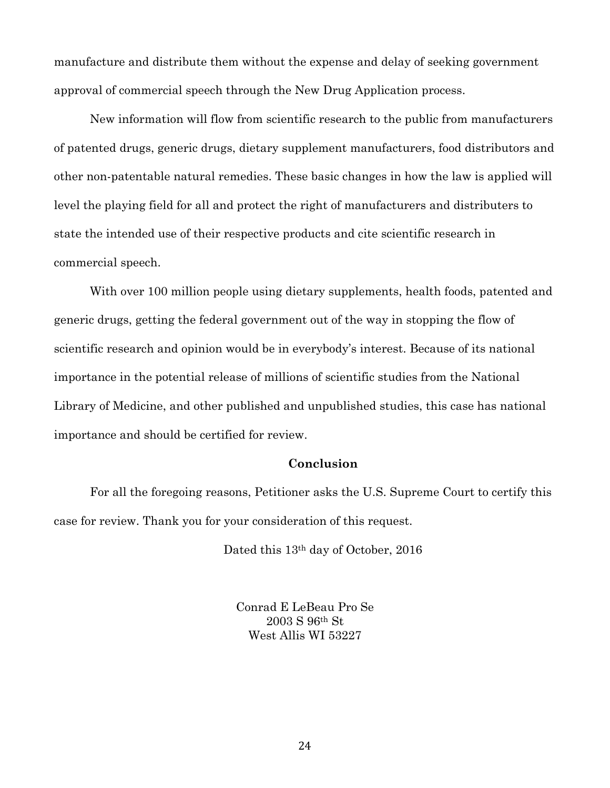manufacture and distribute them without the expense and delay of seeking government approval of commercial speech through the New Drug Application process.

New information will flow from scientific research to the public from manufacturers of patented drugs, generic drugs, dietary supplement manufacturers, food distributors and other non-patentable natural remedies. These basic changes in how the law is applied will level the playing field for all and protect the right of manufacturers and distributers to state the intended use of their respective products and cite scientific research in commercial speech.

With over 100 million people using dietary supplements, health foods, patented and generic drugs, getting the federal government out of the way in stopping the flow of scientific research and opinion would be in everybody's interest. Because of its national importance in the potential release of millions of scientific studies from the National Library of Medicine, and other published and unpublished studies, this case has national importance and should be certified for review.

## **Conclusion**

For all the foregoing reasons, Petitioner asks the U.S. Supreme Court to certify this case for review. Thank you for your consideration of this request.

Dated this 13th day of October, 2016

Conrad E LeBeau Pro Se 2003 S 96th St West Allis WI 53227

24